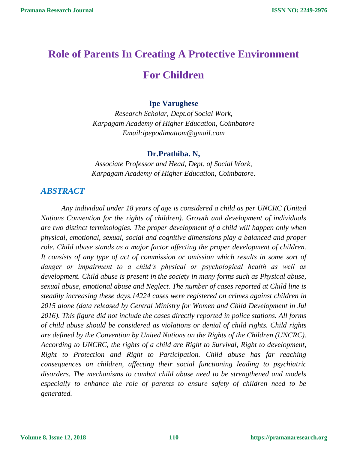# **Role of Parents In Creating A Protective Environment For Children**

#### **Ipe Varughese**

*Research Scholar, Dept.of Social Work, Karpagam Academy of Higher Education, Coimbatore Email:ipepodimattom@gmail.com*

#### **Dr.Prathiba. N,**

*Associate Professor and Head, Dept. of Social Work, Karpagam Academy of Higher Education, Coimbatore.*

## *ABSTRACT*

*Any individual under 18 years of age is considered a child as per UNCRC (United Nations Convention for the rights of children). Growth and development of individuals are two distinct terminologies. The proper development of a child will happen only when physical, emotional, sexual, social and cognitive dimensions play a balanced and proper role. Child abuse stands as a major factor affecting the proper development of children. It consists of any type of act of commission or omission which results in some sort of danger or impairment to a child's physical or psychological health as well as development. Child abuse is present in the society in many forms such as Physical abuse, sexual abuse, emotional abuse and Neglect. The number of cases reported at Child line is steadily increasing these days.14224 cases were registered on crimes against children in 2015 alone (data released by Central Ministry for Women and Child Development in Jul 2016). This figure did not include the cases directly reported in police stations. All forms of child abuse should be considered as violations or denial of child rights. Child rights are defined by the Convention by United Nations on the Rights of the Children (UNCRC). According to UNCRC, the rights of a child are Right to Survival, Right to development, Right to Protection and Right to Participation. Child abuse has far reaching consequences on children, affecting their social functioning leading to psychiatric disorders. The mechanisms to combat child abuse need to be strengthened and models especially to enhance the role of parents to ensure safety of children need to be generated.*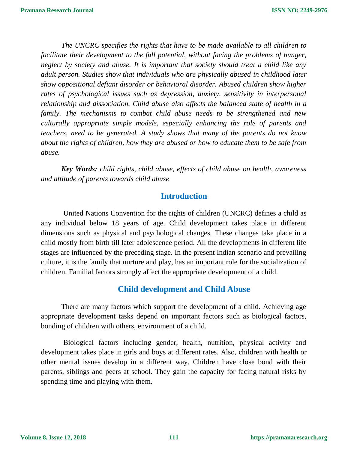*The UNCRC specifies the rights that have to be made available to all children to*  facilitate their development to the full potential, without facing the problems of hunger, *neglect by society and abuse. It is important that society should treat a child like any adult person. Studies show that individuals who are physically abused in childhood later show oppositional defiant disorder or behavioral disorder. Abused children show higher rates of psychological issues such as depression, anxiety, sensitivity in interpersonal relationship and dissociation. Child abuse also affects the balanced state of health in a family. The mechanisms to combat child abuse needs to be strengthened and new culturally appropriate simple models, especially enhancing the role of parents and teachers, need to be generated. A study shows that many of the parents do not know about the rights of children, how they are abused or how to educate them to be safe from abuse.* 

*Key Words: child rights, child abuse, effects of child abuse on health, awareness and attitude of parents towards child abuse* 

## **Introduction**

United Nations Convention for the rights of children (UNCRC) defines a child as any individual below 18 years of age. Child development takes place in different dimensions such as physical and psychological changes. These changes take place in a child mostly from birth till later adolescence period. All the developments in different life stages are influenced by the preceding stage. In the present Indian scenario and prevailing culture, it is the family that nurture and play, has an important role for the socialization of children. Familial factors strongly affect the appropriate development of a child.

## **Child development and Child Abuse**

There are many factors which support the development of a child. Achieving age appropriate development tasks depend on important factors such as biological factors, bonding of children with others, environment of a child.

Biological factors including gender, health, nutrition, physical activity and development takes place in girls and boys at different rates. Also, children with health or other mental issues develop in a different way. Children have close bond with their parents, siblings and peers at school. They gain the capacity for facing natural risks by spending time and playing with them.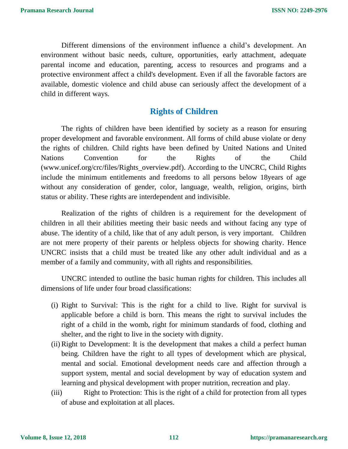Different dimensions of the environment influence a child's development. An environment without basic needs, culture, opportunities, early attachment, adequate parental income and education, parenting, access to resources and programs and a protective environment affect a child's development. Even if all the favorable factors are available, domestic violence and child abuse can seriously affect the development of a child in different ways.

# **Rights of Children**

The rights of children have been identified by society as a reason for ensuring proper development and favorable environment. All forms of child abuse violate or deny the rights of children. Child rights have been defined by United Nations and United Nations Convention for the Rights of the Child (www.unicef.org/crc/files/Rights\_overview.pdf). According to the UNCRC, Child Rights include the minimum entitlements and freedoms to all persons below 18years of age without any consideration of gender, color, language, wealth, religion, origins, birth status or ability. These rights are interdependent and indivisible.

Realization of the rights of children is a requirement for the development of children in all their abilities meeting their basic needs and without facing any type of abuse. The identity of a child, like that of any adult person, is very important. Children are not mere property of their parents or helpless objects for showing charity. Hence UNCRC insists that a child must be treated like any other adult individual and as a member of a family and community, with all rights and responsibilities.

UNCRC intended to outline the basic human rights for children. This includes all dimensions of life under four broad classifications:

- (i) Right to Survival: This is the right for a child to live. Right for survival is applicable before a child is born. This means the right to survival includes the right of a child in the womb, right for minimum standards of food, clothing and shelter, and the right to live in the society with dignity.
- (ii)Right to Development: It is the development that makes a child a perfect human being. Children have the right to all types of development which are physical, mental and social. Emotional development needs care and affection through a support system, mental and social development by way of education system and learning and physical development with proper nutrition, recreation and play.
- (iii) Right to Protection: This is the right of a child for protection from all types of abuse and exploitation at all places.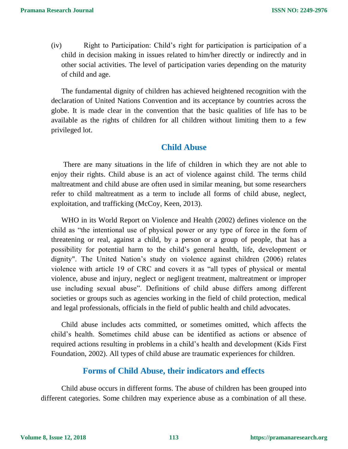(iv) Right to Participation: Child's right for participation is participation of a child in decision making in issues related to him/her directly or indirectly and in other social activities. The level of participation varies depending on the maturity of child and age.

The fundamental dignity of children has achieved heightened recognition with the declaration of United Nations Convention and its acceptance by countries across the globe. It is made clear in the convention that the basic qualities of life has to be available as the rights of children for all children without limiting them to a few privileged lot.

## **Child Abuse**

There are many situations in the life of children in which they are not able to enjoy their rights. Child abuse is an act of violence against child. The terms child maltreatment and child abuse are often used in similar meaning, but some researchers refer to child maltreatment as a term to include all forms of child abuse, neglect, exploitation, and trafficking (McCoy, Keen, 2013).

WHO in its World Report on Violence and Health (2002) defines violence on the child as "the intentional use of physical power or any type of force in the form of threatening or real, against a child, by a person or a group of people, that has a possibility for potential harm to the child's general health, life, development or dignity". The United Nation's study on violence against children (2006) relates violence with article 19 of CRC and covers it as "all types of physical or mental violence, abuse and injury, neglect or negligent treatment, maltreatment or improper use including sexual abuse". Definitions of child abuse differs among different societies or groups such as agencies working in the field of child protection, medical and legal professionals, officials in the field of public health and child advocates.

Child abuse includes acts committed, or sometimes omitted, which affects the child's health. Sometimes child abuse can be identified as actions or absence of required actions resulting in problems in a child's health and development (Kids First Foundation, 2002). All types of child abuse are traumatic experiences for children.

## **Forms of Child Abuse, their indicators and effects**

Child abuse occurs in different forms. The abuse of children has been grouped into different categories. Some children may experience abuse as a combination of all these.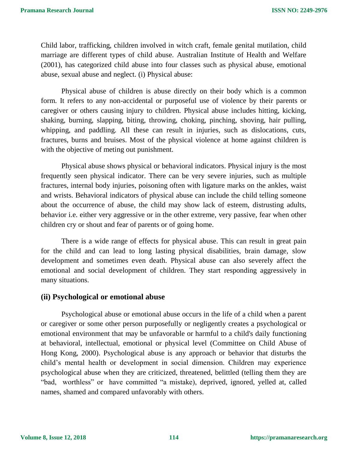Child labor, trafficking, children involved in witch craft, female genital mutilation, child marriage are different types of child abuse. Australian Institute of Health and Welfare (2001), has categorized child abuse into four classes such as physical abuse, emotional abuse, sexual abuse and neglect. (i) Physical abuse:

Physical abuse of children is abuse directly on their body which is a common form. It refers to any non-accidental or purposeful use of violence by their parents or caregiver or others causing injury to children. Physical abuse includes hitting, kicking, shaking, burning, slapping, biting, throwing, choking, pinching, shoving, hair pulling, whipping, and paddling. All these can result in injuries, such as dislocations, cuts, fractures, burns and bruises. Most of the physical violence at home against children is with the objective of meting out punishment.

Physical abuse shows physical or behavioral indicators. Physical injury is the most frequently seen physical indicator. There can be very severe injuries, such as multiple fractures, internal body injuries, poisoning often with ligature marks on the ankles, waist and wrists. Behavioral indicators of physical abuse can include the child telling someone about the occurrence of abuse, the child may show lack of esteem, distrusting adults, behavior i.e. either very aggressive or in the other extreme, very passive, fear when other children cry or shout and fear of parents or of going home.

There is a wide range of effects for physical abuse. This can result in great pain for the child and can lead to long lasting physical disabilities, brain damage, slow development and sometimes even death. Physical abuse can also severely affect the emotional and social development of children. They start responding aggressively in many situations.

## **(ii) Psychological or emotional abuse**

Psychological abuse or emotional abuse occurs in the life of a child when a parent or caregiver or some other person purposefully or negligently creates a psychological or emotional environment that may be unfavorable or harmful to a child's daily functioning at behavioral, intellectual, emotional or physical level (Committee on Child Abuse of Hong Kong, 2000). Psychological abuse is any approach or behavior that disturbs the child's mental health or development in social dimension. Children may experience psychological abuse when they are criticized, threatened, belittled (telling them they are "bad, worthless" or have committed "a mistake), deprived, ignored, yelled at, called names, shamed and compared unfavorably with others.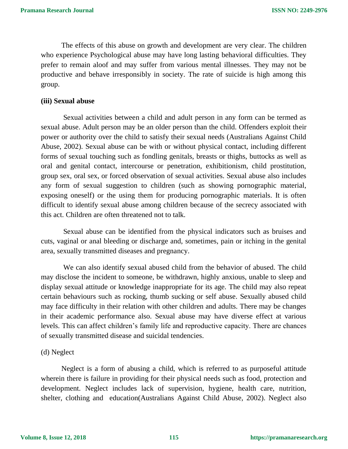The effects of this abuse on growth and development are very clear. The children who experience Psychological abuse may have long lasting behavioral difficulties. They prefer to remain aloof and may suffer from various mental illnesses. They may not be productive and behave irresponsibly in society. The rate of suicide is high among this group.

#### **(iii) Sexual abuse**

Sexual activities between a child and adult person in any form can be termed as sexual abuse. Adult person may be an older person than the child. Offenders exploit their power or authority over the child to satisfy their sexual needs (Australians Against Child Abuse, 2002). Sexual abuse can be with or without physical contact, including different forms of sexual touching such as fondling genitals, breasts or thighs, buttocks as well as oral and genital contact, intercourse or penetration, exhibitionism, child prostitution, group sex, oral sex, or forced observation of sexual activities. Sexual abuse also includes any form of sexual suggestion to children (such as showing pornographic material, exposing oneself) or the using them for producing pornographic materials. It is often difficult to identify sexual abuse among children because of the secrecy associated with this act. Children are often threatened not to talk.

Sexual abuse can be identified from the physical indicators such as bruises and cuts, vaginal or anal bleeding or discharge and, sometimes, pain or itching in the genital area, sexually transmitted diseases and pregnancy.

We can also identify sexual abused child from the behavior of abused. The child may disclose the incident to someone, be withdrawn, highly anxious, unable to sleep and display sexual attitude or knowledge inappropriate for its age. The child may also repeat certain behaviours such as rocking, thumb sucking or self abuse. Sexually abused child may face difficulty in their relation with other children and adults. There may be changes in their academic performance also. Sexual abuse may have diverse effect at various levels. This can affect children's family life and reproductive capacity. There are chances of sexually transmitted disease and suicidal tendencies.

#### (d) Neglect

Neglect is a form of abusing a child, which is referred to as purposeful attitude wherein there is failure in providing for their physical needs such as food, protection and development. Neglect includes lack of supervision, hygiene, health care, nutrition, shelter, clothing and education(Australians Against Child Abuse, 2002). Neglect also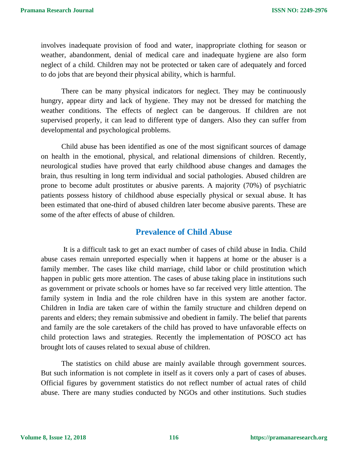involves inadequate provision of food and water, inappropriate clothing for season or weather, abandonment, denial of medical care and inadequate hygiene are also form neglect of a child. Children may not be protected or taken care of adequately and forced to do jobs that are beyond their physical ability, which is harmful.

There can be many physical indicators for neglect. They may be continuously hungry, appear dirty and lack of hygiene. They may not be dressed for matching the weather conditions. The effects of neglect can be dangerous. If children are not supervised properly, it can lead to different type of dangers. Also they can suffer from developmental and psychological problems.

Child abuse has been identified as one of the most significant sources of damage on health in the emotional, physical, and relational dimensions of children. Recently, neurological studies have proved that early childhood abuse changes and damages the brain, thus resulting in long term individual and social pathologies. Abused children are prone to become adult prostitutes or abusive parents. A majority (70%) of psychiatric patients possess history of childhood abuse especially physical or sexual abuse. It has been estimated that one-third of abused children later become abusive parents. These are some of the after effects of abuse of children.

## **Prevalence of Child Abuse**

It is a difficult task to get an exact number of cases of child abuse in India. Child abuse cases remain unreported especially when it happens at home or the abuser is a family member. The cases like child marriage, child labor or child prostitution which happen in public gets more attention. The cases of abuse taking place in institutions such as government or private schools or homes have so far received very little attention. The family system in India and the role children have in this system are another factor. Children in India are taken care of within the family structure and children depend on parents and elders; they remain submissive and obedient in family. The belief that parents and family are the sole caretakers of the child has proved to have unfavorable effects on child protection laws and strategies. Recently the implementation of POSCO act has brought lots of causes related to sexual abuse of children.

The statistics on child abuse are mainly available through government sources. But such information is not complete in itself as it covers only a part of cases of abuses. Official figures by government statistics do not reflect number of actual rates of child abuse. There are many studies conducted by NGOs and other institutions. Such studies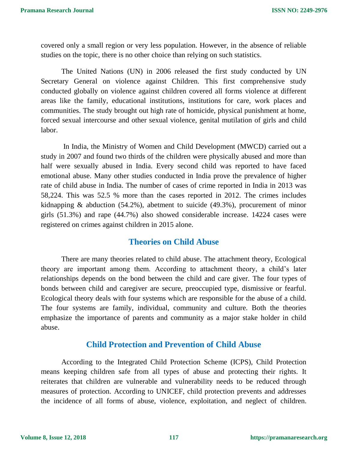covered only a small region or very less population. However, in the absence of reliable studies on the topic, there is no other choice than relying on such statistics.

The United Nations (UN) in 2006 released the first study conducted by UN Secretary General on violence against Children. This first comprehensive study conducted globally on violence against children covered all forms violence at different areas like the family, educational institutions, institutions for care, work places and communities. The study brought out high rate of homicide, physical punishment at home, forced sexual intercourse and other sexual violence, genital mutilation of girls and child labor.

In India, the Ministry of Women and Child Development (MWCD) carried out a study in 2007 and found two thirds of the children were physically abused and more than half were sexually abused in India. Every second child was reported to have faced emotional abuse. Many other studies conducted in India prove the prevalence of higher rate of child abuse in India. The number of cases of crime reported in India in 2013 was 58,224. This was 52.5 % more than the cases reported in 2012. The crimes includes kidnapping & abduction (54.2%), abetment to suicide (49.3%), procurement of minor girls (51.3%) and rape (44.7%) also showed considerable increase. 14224 cases were registered on crimes against children in 2015 alone.

## **Theories on Child Abuse**

There are many theories related to child abuse. The attachment theory, Ecological theory are important among them. According to attachment theory, a child's later relationships depends on the bond between the child and care giver. The four types of bonds between child and caregiver are secure, preoccupied type, dismissive or fearful. Ecological theory deals with four systems which are responsible for the abuse of a child. The four systems are family, individual, community and culture. Both the theories emphasize the importance of parents and community as a major stake holder in child abuse.

# **Child Protection and Prevention of Child Abuse**

According to the Integrated Child Protection Scheme (ICPS), Child Protection means keeping children safe from all types of abuse and protecting their rights. It reiterates that children are vulnerable and vulnerability needs to be reduced through measures of protection. According to UNICEF, child protection prevents and addresses the incidence of all forms of abuse, violence, exploitation, and neglect of children.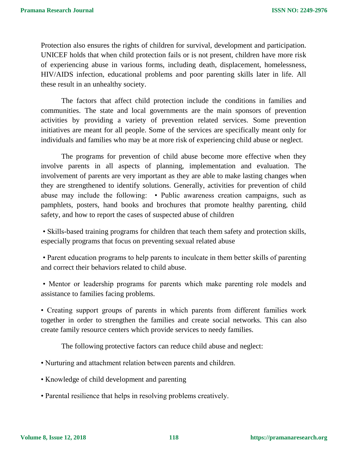Protection also ensures the rights of children for survival, development and participation. UNICEF holds that when child protection fails or is not present, children have more risk of experiencing abuse in various forms, including death, displacement, homelessness, HIV/AIDS infection, educational problems and poor parenting skills later in life. All these result in an unhealthy society.

The factors that affect child protection include the conditions in families and communities. The state and local governments are the main sponsors of prevention activities by providing a variety of prevention related services. Some prevention initiatives are meant for all people. Some of the services are specifically meant only for individuals and families who may be at more risk of experiencing child abuse or neglect.

The programs for prevention of child abuse become more effective when they involve parents in all aspects of planning, implementation and evaluation. The involvement of parents are very important as they are able to make lasting changes when they are strengthened to identify solutions. Generally, activities for prevention of child abuse may include the following: • Public awareness creation campaigns, such as pamphlets, posters, hand books and brochures that promote healthy parenting, child safety, and how to report the cases of suspected abuse of children

• Skills-based training programs for children that teach them safety and protection skills, especially programs that focus on preventing sexual related abuse

• Parent education programs to help parents to inculcate in them better skills of parenting and correct their behaviors related to child abuse.

• Mentor or leadership programs for parents which make parenting role models and assistance to families facing problems.

• Creating support groups of parents in which parents from different families work together in order to strengthen the families and create social networks. This can also create family resource centers which provide services to needy families.

The following protective factors can reduce child abuse and neglect:

- Nurturing and attachment relation between parents and children.
- Knowledge of child development and parenting
- Parental resilience that helps in resolving problems creatively.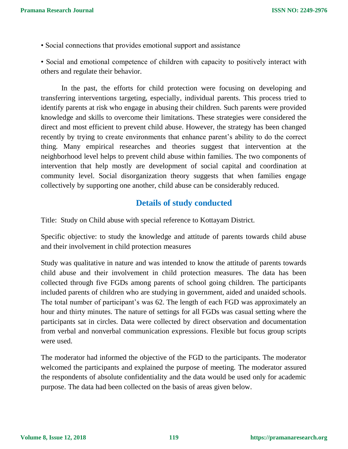• Social connections that provides emotional support and assistance

• Social and emotional competence of children with capacity to positively interact with others and regulate their behavior.

In the past, the efforts for child protection were focusing on developing and transferring interventions targeting, especially, individual parents. This process tried to identify parents at risk who engage in abusing their children. Such parents were provided knowledge and skills to overcome their limitations. These strategies were considered the direct and most efficient to prevent child abuse. However, the strategy has been changed recently by trying to create environments that enhance parent's ability to do the correct thing. Many empirical researches and theories suggest that intervention at the neighborhood level helps to prevent child abuse within families. The two components of intervention that help mostly are development of social capital and coordination at community level. Social disorganization theory suggests that when families engage collectively by supporting one another, child abuse can be considerably reduced.

# **Details of study conducted**

Title: Study on Child abuse with special reference to Kottayam District.

Specific objective: to study the knowledge and attitude of parents towards child abuse and their involvement in child protection measures

Study was qualitative in nature and was intended to know the attitude of parents towards child abuse and their involvement in child protection measures. The data has been collected through five FGDs among parents of school going children. The participants included parents of children who are studying in government, aided and unaided schools. The total number of participant's was 62. The length of each FGD was approximately an hour and thirty minutes. The nature of settings for all FGDs was casual setting where the participants sat in circles. Data were collected by direct observation and documentation from verbal and nonverbal communication expressions. Flexible but focus group scripts were used.

The moderator had informed the objective of the FGD to the participants. The moderator welcomed the participants and explained the purpose of meeting. The moderator assured the respondents of absolute confidentiality and the data would be used only for academic purpose. The data had been collected on the basis of areas given below.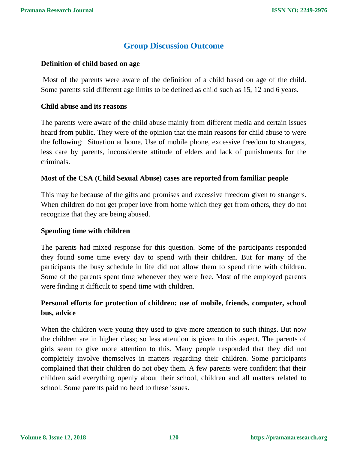# **Group Discussion Outcome**

#### **Definition of child based on age**

Most of the parents were aware of the definition of a child based on age of the child. Some parents said different age limits to be defined as child such as 15, 12 and 6 years.

#### **Child abuse and its reasons**

The parents were aware of the child abuse mainly from different media and certain issues heard from public. They were of the opinion that the main reasons for child abuse to were the following: Situation at home, Use of mobile phone, excessive freedom to strangers, less care by parents, inconsiderate attitude of elders and lack of punishments for the criminals.

#### **Most of the CSA (Child Sexual Abuse) cases are reported from familiar people**

This may be because of the gifts and promises and excessive freedom given to strangers. When children do not get proper love from home which they get from others, they do not recognize that they are being abused.

#### **Spending time with children**

The parents had mixed response for this question. Some of the participants responded they found some time every day to spend with their children. But for many of the participants the busy schedule in life did not allow them to spend time with children. Some of the parents spent time whenever they were free. Most of the employed parents were finding it difficult to spend time with children.

## **Personal efforts for protection of children: use of mobile, friends, computer, school bus, advice**

When the children were young they used to give more attention to such things. But now the children are in higher class; so less attention is given to this aspect. The parents of girls seem to give more attention to this. Many people responded that they did not completely involve themselves in matters regarding their children. Some participants complained that their children do not obey them. A few parents were confident that their children said everything openly about their school, children and all matters related to school. Some parents paid no heed to these issues.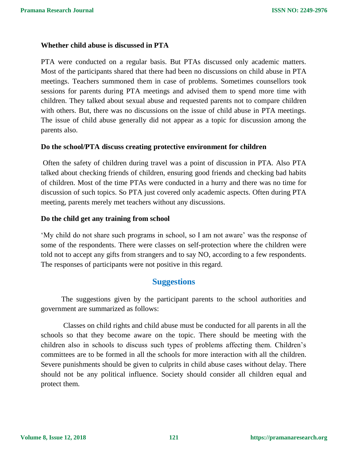### **Whether child abuse is discussed in PTA**

PTA were conducted on a regular basis. But PTAs discussed only academic matters. Most of the participants shared that there had been no discussions on child abuse in PTA meetings. Teachers summoned them in case of problems. Sometimes counsellors took sessions for parents during PTA meetings and advised them to spend more time with children. They talked about sexual abuse and requested parents not to compare children with others. But, there was no discussions on the issue of child abuse in PTA meetings. The issue of child abuse generally did not appear as a topic for discussion among the parents also.

#### **Do the school/PTA discuss creating protective environment for children**

Often the safety of children during travel was a point of discussion in PTA. Also PTA talked about checking friends of children, ensuring good friends and checking bad habits of children. Most of the time PTAs were conducted in a hurry and there was no time for discussion of such topics. So PTA just covered only academic aspects. Often during PTA meeting, parents merely met teachers without any discussions.

#### **Do the child get any training from school**

'My child do not share such programs in school, so I am not aware' was the response of some of the respondents. There were classes on self-protection where the children were told not to accept any gifts from strangers and to say NO, according to a few respondents. The responses of participants were not positive in this regard.

## **Suggestions**

The suggestions given by the participant parents to the school authorities and government are summarized as follows:

Classes on child rights and child abuse must be conducted for all parents in all the schools so that they become aware on the topic. There should be meeting with the children also in schools to discuss such types of problems affecting them. Children's committees are to be formed in all the schools for more interaction with all the children. Severe punishments should be given to culprits in child abuse cases without delay. There should not be any political influence. Society should consider all children equal and protect them.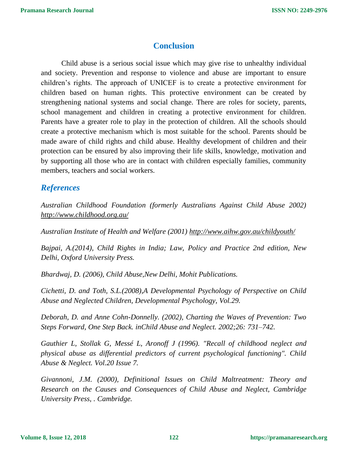# **Conclusion**

Child abuse is a serious social issue which may give rise to unhealthy individual and society. Prevention and response to violence and abuse are important to ensure children's rights. The approach of UNICEF is to create a protective environment for children based on human rights. This protective environment can be created by strengthening national systems and social change. There are roles for society, parents, school management and children in creating a protective environment for children. Parents have a greater role to play in the protection of children. All the schools should create a protective mechanism which is most suitable for the school. Parents should be made aware of child rights and child abuse. Healthy development of children and their protection can be ensured by also improving their life skills, knowledge, motivation and by supporting all those who are in contact with children especially families, community members, teachers and social workers.

# *References*

*Australian Childhood Foundation (formerly Australians Against Child Abuse 2002) <http://www.childhood.org.au/>*

*Australian Institute of Health and Welfare (2001)<http://www.aihw.gov.au/childyouth/>*

*Bajpai, A.(2014), Child Rights in India; Law, Policy and Practice 2nd edition, New Delhi, Oxford University Press.* 

*Bhardwaj, D. (2006), Child Abuse,New Delhi, Mohit Publications.* 

*Cichetti, D. and Toth, S.L.(2008),A Developmental Psychology of Perspective on Child Abuse and Neglected Children, Developmental Psychology, Vol.29.* 

*Deborah, D. and Anne Cohn-Donnelly. (2002), Charting the Waves of Prevention: Two Steps Forward, One Step Back. inChild Abuse and Neglect. 2002;26: 731–742.* 

*Gauthier L, Stollak G, Messé L, Aronoff J (1996). "Recall of childhood neglect and physical abuse as differential predictors of current psychological functioning". Child Abuse & Neglect. Vol.20 Issue 7.* 

*Givannoni, J.M. (2000), Definitional Issues on Child Maltreatment: Theory and Research on the Causes and Consequences of Child Abuse and Neglect, Cambridge University Press, . Cambridge.*